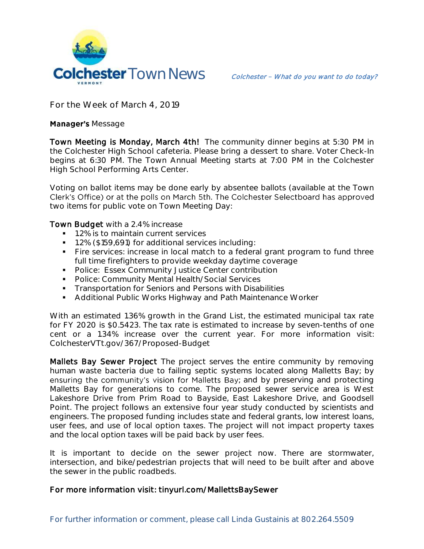

**For the Week of March 4, 2019**

## **Manager's Message**

Town Meeting is Monday, March 4th! The community dinner begins at 5:30 PM in the Colchester High School cafeteria. Please bring a dessert to share. Voter Check-In begins at 6:30 PM. The Town Annual Meeting starts at 7:00 PM in the Colchester High School Performing Arts Center.

Voting on ballot items may be done early by absentee ballots (available at the Town Clerk's Office) or at the polls on March 5th. The Colchester Selectboard has approved two items for public vote on Town Meeting Day:

## Town Budget with a 2.4% increase

- 1.2% is to maintain current services
- 1.2% (\$159,691) for additional services including:
- Fire services: increase in local match to a federal grant program to fund three full time firefighters to provide weekday daytime coverage
- **Police: Essex Community Justice Center contribution**
- **•** Police: Community Mental Health/Social Services
- **Transportation for Seniors and Persons with Disabilities**
- Additional Public Works Highway and Path Maintenance Worker

With an estimated 1.36% growth in the Grand List, the estimated municipal tax rate for FY 2020 is \$0.5423. The tax rate is estimated to increase by seven-tenths of one cent or a 1.34% increase over the current year. For more information visit: ColchesterVTt.gov/367/Proposed-Budget

Mallets Bay Sewer Project The project serves the entire community by removing human waste bacteria due to failing septic systems located along Malletts Bay; by ensuring the community's vision for Malletts Bay; and by preserving and protecting Malletts Bay for generations to come. The proposed sewer service area is West Lakeshore Drive from Prim Road to Bayside, East Lakeshore Drive, and Goodsell Point. The project follows an extensive four year study conducted by scientists and engineers. The proposed funding includes state and federal grants, low interest loans, user fees, and use of local option taxes. The project will not impact property taxes and the local option taxes will be paid back by user fees.

It is important to decide on the sewer project now. There are stormwater, intersection, and bike/pedestrian projects that will need to be built after and above the sewer in the public roadbeds.

## For more information visit: tinyurl.com/MallettsBaySewer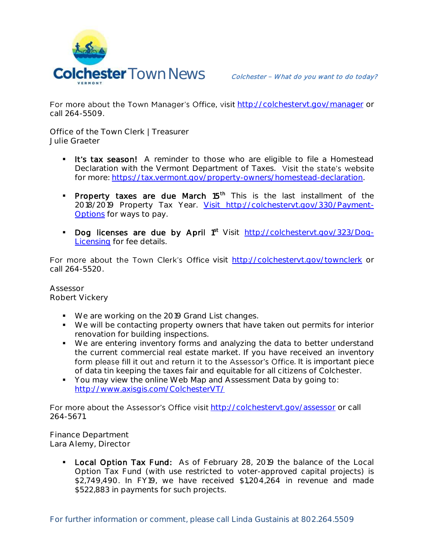

For more about the Town Manager's Office, visit http://colchesteryt.gov/manager or call 264-5509.

**Office of the Town Clerk | Treasurer Julie Graeter**

- **It's tax season!** A reminder to those who are eligible to file a Homestead Declaration with the Vermont Department of Taxes. Visit the state's website for more: [https://tax.vermont.gov/property-owners/homestead-declaration.](https://tax.vermont.gov/property-owners/homestead-declaration)
- Property taxes are due March 15<sup>th</sup> This is the last installment of the 2018/2019 Property Tax Year. [Visit http://colchestervt.gov/330/Payment-](file://///colchester-11/Admin/Newsletter/2019/Newsletter%20New%20Masters/Visit%20http:/colchestervt.gov/330/Payment-Options)[Options](file://///colchester-11/Admin/Newsletter/2019/Newsletter%20New%20Masters/Visit%20http:/colchestervt.gov/330/Payment-Options) for ways to pay.
- Dog licenses are due by April 1<sup>st</sup> Visit [http://colchestervt.gov/323/Dog-](http://colchestervt.gov/323/Dog-Licensing)[Licensing](http://colchestervt.gov/323/Dog-Licensing) for fee details.

For more about the Town Clerk's Office visit <http://colchestervt.gov/townclerk> or call 264-5520.

**Assessor Robert Vickery**

- We are working on the 2019 Grand List changes.
- We will be contacting property owners that have taken out permits for interior renovation for building inspections.
- We are entering inventory forms and analyzing the data to better understand the current commercial real estate market. If you have received an inventory form please fill it out and return it to the Assessor's Office. It is important piece of data tin keeping the taxes fair and equitable for all citizens of Colchester.
- You may view the online Web Map and Assessment Data by going to: <http://www.axisgis.com/ColchesterVT/>

For more about the Assessor's Office visit <http://colchestervt.gov/assessor> or call 264-5671.

**Finance Department Lara Alemy, Director**

> Local Option Tax Fund: As of February 28, 2019 the balance of the Local Option Tax Fund (with use restricted to voter-approved capital projects) is \$2,749,490. In FY19, we have received \$1,204,264 in revenue and made \$522,883 in payments for such projects.